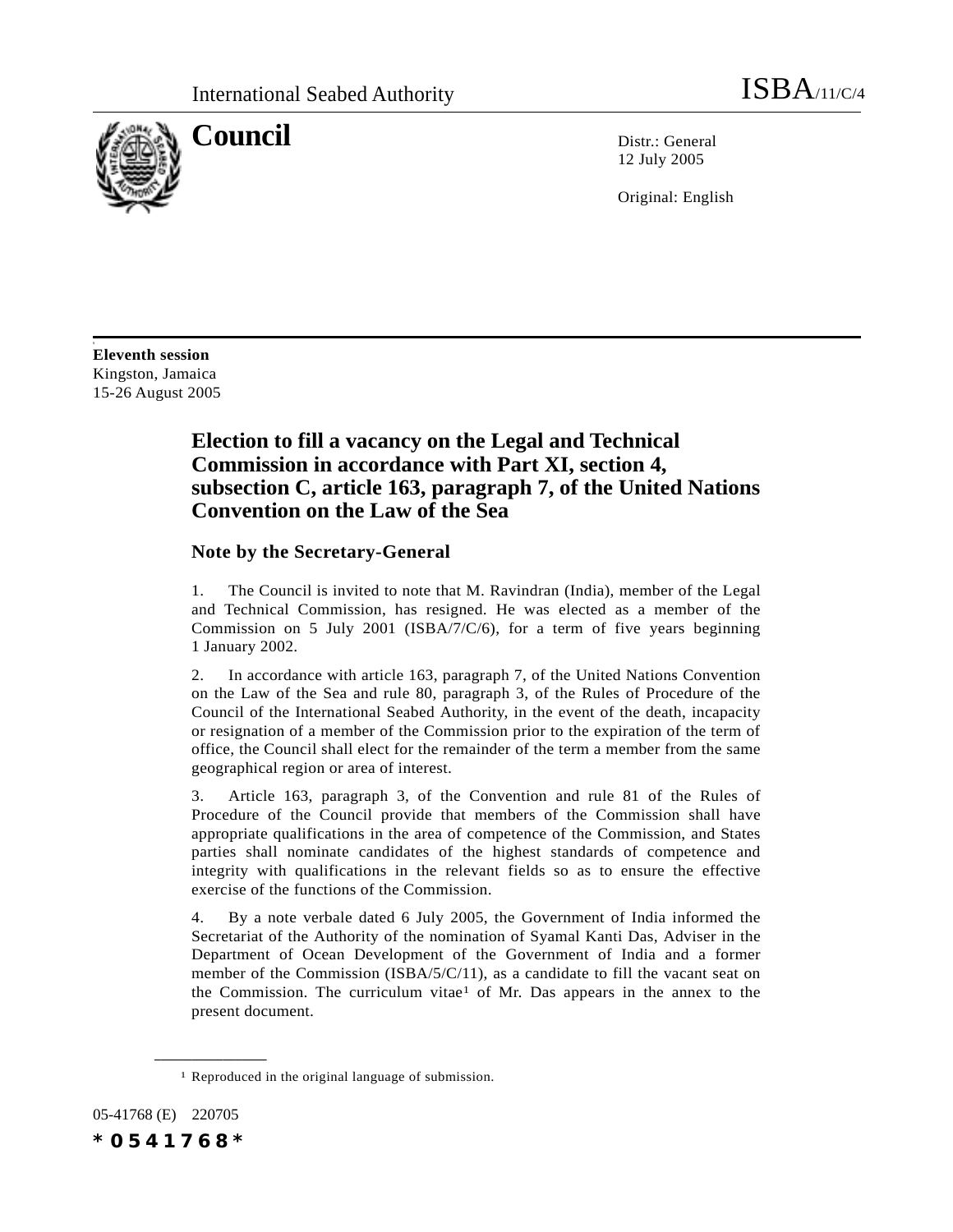

**Council** Distribution Distribution Distribution Distribution Distribution Distribution Distribution Distribution Distribution Distribution Distribution Distribution Distribution Distribution Distribution Distribution Dist 12 July 2005

Original: English

**Eleventh session** Kingston, Jamaica 15-26 August 2005

s

# **Election to fill a vacancy on the Legal and Technical Commission in accordance with Part XI, section 4, subsection C, article 163, paragraph 7, of the United Nations Convention on the Law of the Sea**

## **Note by the Secretary-General**

1. The Council is invited to note that M. Ravindran (India), member of the Legal and Technical Commission, has resigned. He was elected as a member of the Commission on 5 July 2001 (ISBA/7/C/6), for a term of five years beginning 1 January 2002.

2. In accordance with article 163, paragraph 7, of the United Nations Convention on the Law of the Sea and rule 80, paragraph 3, of the Rules of Procedure of the Council of the International Seabed Authority, in the event of the death, incapacity or resignation of a member of the Commission prior to the expiration of the term of office, the Council shall elect for the remainder of the term a member from the same geographical region or area of interest.

3. Article 163, paragraph 3, of the Convention and rule 81 of the Rules of Procedure of the Council provide that members of the Commission shall have appropriate qualifications in the area of competence of the Commission, and States parties shall nominate candidates of the highest standards of competence and integrity with qualifications in the relevant fields so as to ensure the effective exercise of the functions of the Commission.

4. By a note verbale dated 6 July 2005, the Government of India informed the Secretariat of the Authority of the nomination of Syamal Kanti Das, Adviser in the Department of Ocean Development of the Government of India and a former member of the Commission (ISBA/5/C/11), as a candidate to fill the vacant seat on the Commission. The curriculum vitae<sup>1</sup> of Mr. Das appears in the annex to the present document.

05-41768 (E) 220705 *\*0541768\**

**\_\_\_\_\_\_\_\_\_\_\_\_\_\_\_\_\_\_**

<sup>1</sup> Reproduced in the original language of submission.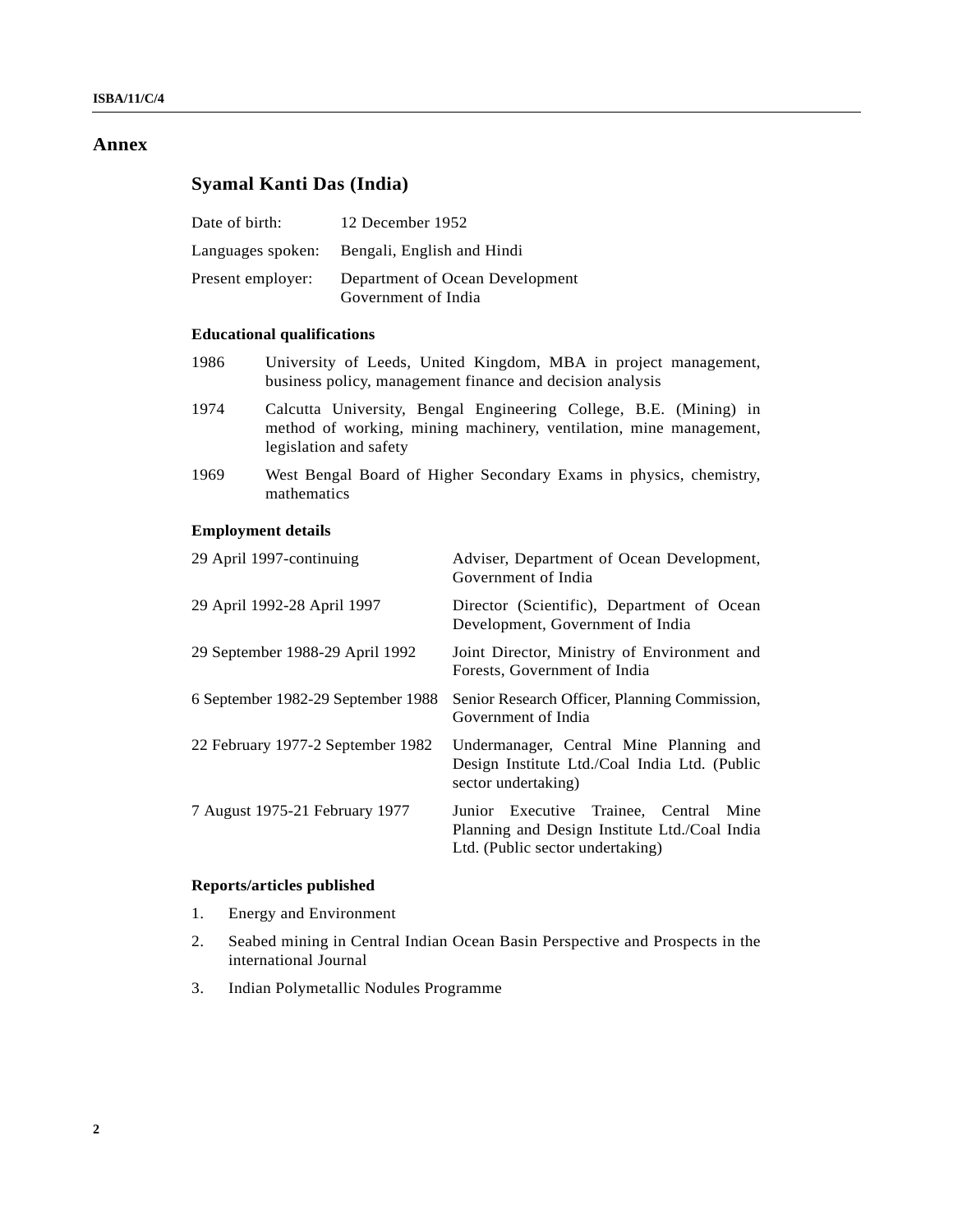## **Annex**

# **Syamal Kanti Das (India)**

| Date of birth:    | 12 December 1952                                       |
|-------------------|--------------------------------------------------------|
|                   | Languages spoken: Bengali, English and Hindi           |
| Present employer: | Department of Ocean Development<br>Government of India |

## **Educational qualifications**

- 1986 University of Leeds, United Kingdom, MBA in project management, business policy, management finance and decision analysis
- 1974 Calcutta University, Bengal Engineering College, B.E. (Mining) in method of working, mining machinery, ventilation, mine management, legislation and safety
- 1969 West Bengal Board of Higher Secondary Exams in physics, chemistry, mathematics

## **Employment details**

| 29 April 1997-continuing           | Adviser, Department of Ocean Development,<br>Government of India                                                               |
|------------------------------------|--------------------------------------------------------------------------------------------------------------------------------|
| 29 April 1992-28 April 1997        | Director (Scientific), Department of Ocean<br>Development, Government of India                                                 |
| 29 September 1988-29 April 1992    | Joint Director, Ministry of Environment and<br>Forests, Government of India                                                    |
| 6 September 1982-29 September 1988 | Senior Research Officer, Planning Commission,<br>Government of India                                                           |
| 22 February 1977-2 September 1982  | Undermanager, Central Mine Planning and<br>Design Institute Ltd./Coal India Ltd. (Public<br>sector undertaking)                |
| 7 August 1975-21 February 1977     | Junior Executive Trainee, Central<br>Mine<br>Planning and Design Institute Ltd./Coal India<br>Ltd. (Public sector undertaking) |

## **Reports/articles published**

- 1. Energy and Environment
- 2. Seabed mining in Central Indian Ocean Basin Perspective and Prospects in the international Journal
- 3. Indian Polymetallic Nodules Programme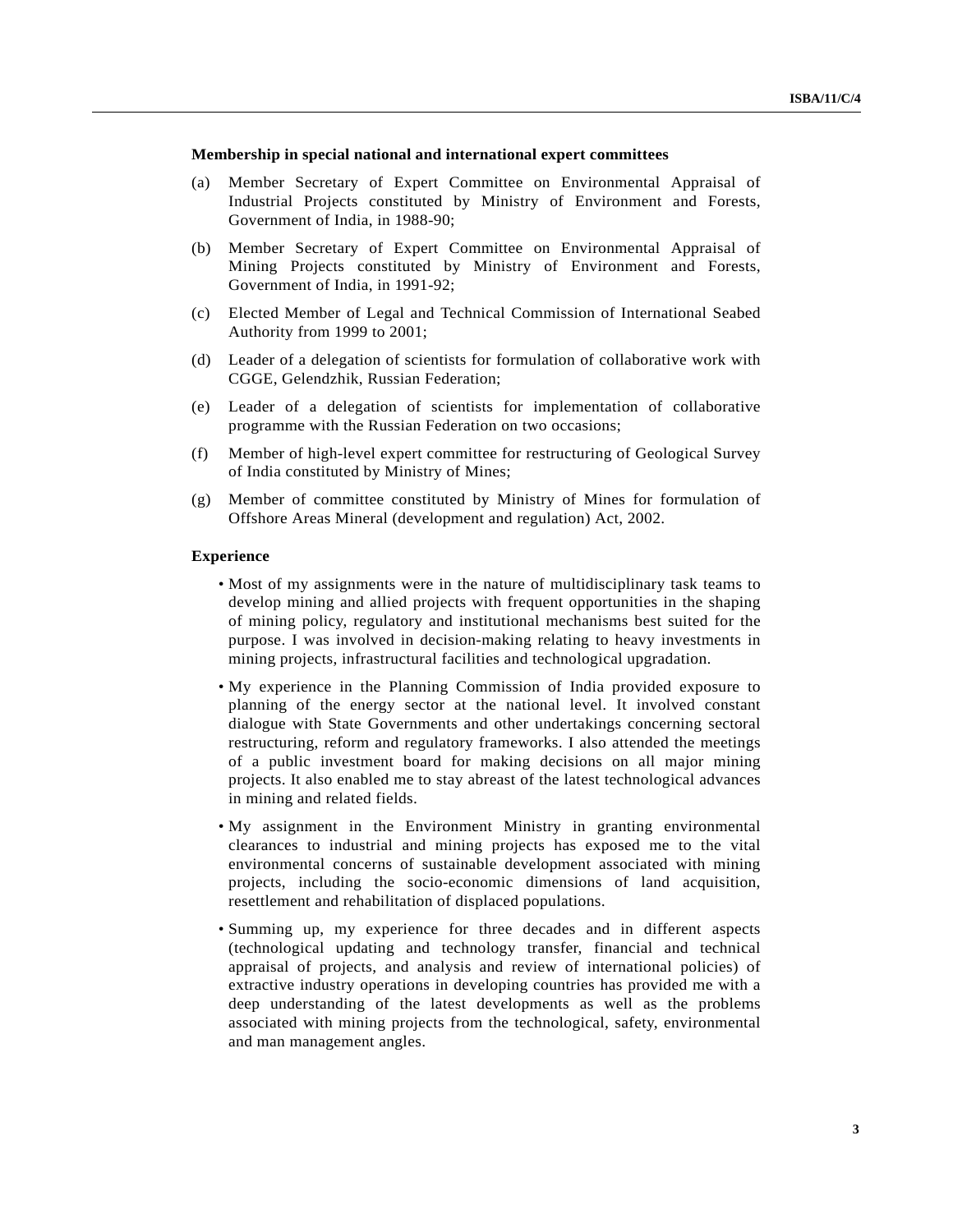### **Membership in special national and international expert committees**

- (a) Member Secretary of Expert Committee on Environmental Appraisal of Industrial Projects constituted by Ministry of Environment and Forests, Government of India, in 1988-90;
- (b) Member Secretary of Expert Committee on Environmental Appraisal of Mining Projects constituted by Ministry of Environment and Forests, Government of India, in 1991-92;
- (c) Elected Member of Legal and Technical Commission of International Seabed Authority from 1999 to 2001;
- (d) Leader of a delegation of scientists for formulation of collaborative work with CGGE, Gelendzhik, Russian Federation;
- (e) Leader of a delegation of scientists for implementation of collaborative programme with the Russian Federation on two occasions;
- (f) Member of high-level expert committee for restructuring of Geological Survey of India constituted by Ministry of Mines;
- (g) Member of committee constituted by Ministry of Mines for formulation of Offshore Areas Mineral (development and regulation) Act, 2002.

### **Experience**

- Most of my assignments were in the nature of multidisciplinary task teams to develop mining and allied projects with frequent opportunities in the shaping of mining policy, regulatory and institutional mechanisms best suited for the purpose. I was involved in decision-making relating to heavy investments in mining projects, infrastructural facilities and technological upgradation.
- My experience in the Planning Commission of India provided exposure to planning of the energy sector at the national level. It involved constant dialogue with State Governments and other undertakings concerning sectoral restructuring, reform and regulatory frameworks. I also attended the meetings of a public investment board for making decisions on all major mining projects. It also enabled me to stay abreast of the latest technological advances in mining and related fields.
- My assignment in the Environment Ministry in granting environmental clearances to industrial and mining projects has exposed me to the vital environmental concerns of sustainable development associated with mining projects, including the socio-economic dimensions of land acquisition, resettlement and rehabilitation of displaced populations.
- Summing up, my experience for three decades and in different aspects (technological updating and technology transfer, financial and technical appraisal of projects, and analysis and review of international policies) of extractive industry operations in developing countries has provided me with a deep understanding of the latest developments as well as the problems associated with mining projects from the technological, safety, environmental and man management angles.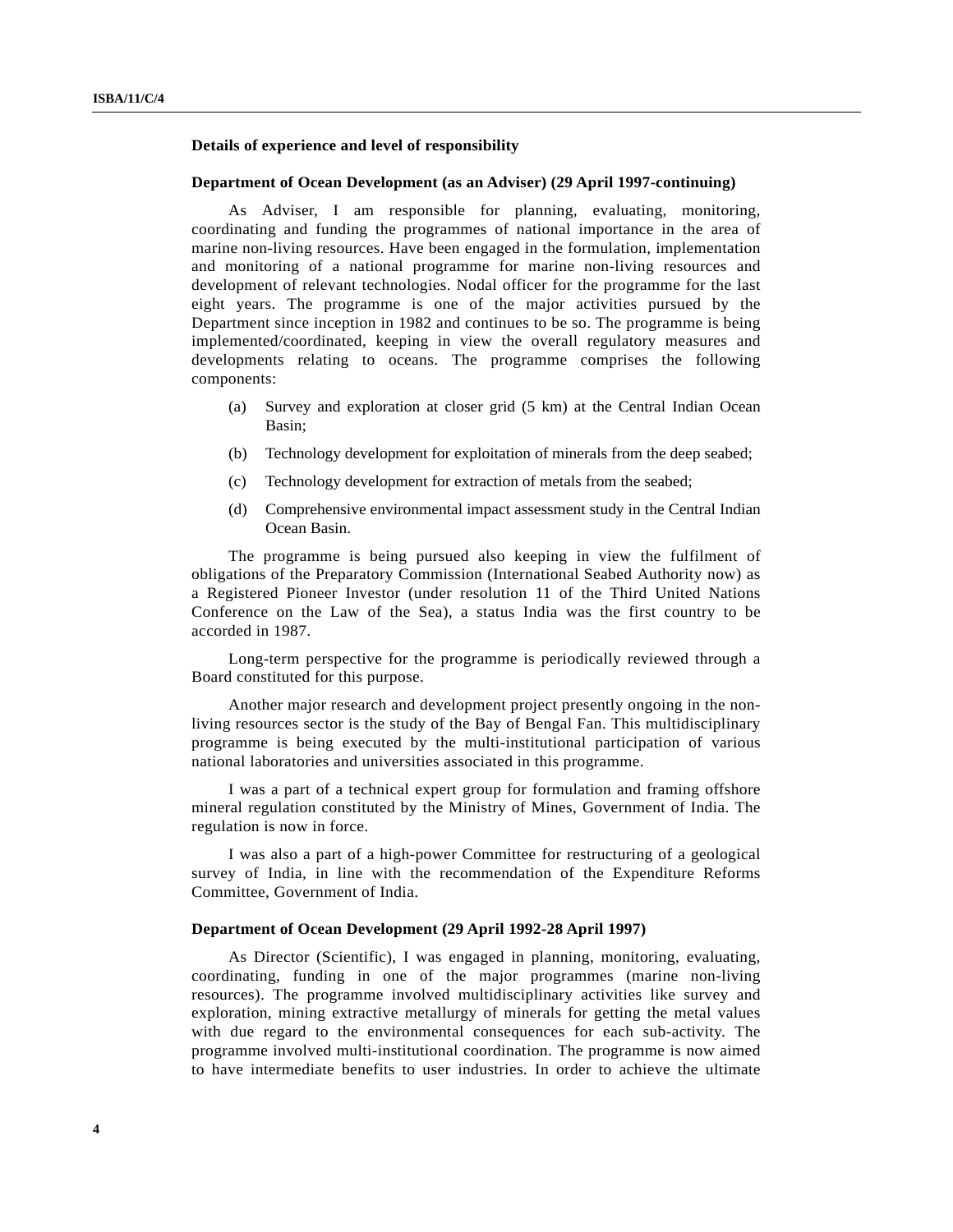## **Details of experience and level of responsibility**

#### **Department of Ocean Development (as an Adviser) (29 April 1997-continuing)**

As Adviser, I am responsible for planning, evaluating, monitoring, coordinating and funding the programmes of national importance in the area of marine non-living resources. Have been engaged in the formulation, implementation and monitoring of a national programme for marine non-living resources and development of relevant technologies. Nodal officer for the programme for the last eight years. The programme is one of the major activities pursued by the Department since inception in 1982 and continues to be so. The programme is being implemented/coordinated, keeping in view the overall regulatory measures and developments relating to oceans. The programme comprises the following components:

- (a) Survey and exploration at closer grid (5 km) at the Central Indian Ocean Basin;
- (b) Technology development for exploitation of minerals from the deep seabed;
- (c) Technology development for extraction of metals from the seabed;
- (d) Comprehensive environmental impact assessment study in the Central Indian Ocean Basin.

The programme is being pursued also keeping in view the fulfilment of obligations of the Preparatory Commission (International Seabed Authority now) as a Registered Pioneer Investor (under resolution 11 of the Third United Nations Conference on the Law of the Sea), a status India was the first country to be accorded in 1987.

Long-term perspective for the programme is periodically reviewed through a Board constituted for this purpose.

Another major research and development project presently ongoing in the nonliving resources sector is the study of the Bay of Bengal Fan. This multidisciplinary programme is being executed by the multi-institutional participation of various national laboratories and universities associated in this programme.

I was a part of a technical expert group for formulation and framing offshore mineral regulation constituted by the Ministry of Mines, Government of India. The regulation is now in force.

I was also a part of a high-power Committee for restructuring of a geological survey of India, in line with the recommendation of the Expenditure Reforms Committee, Government of India.

#### **Department of Ocean Development (29 April 1992-28 April 1997)**

As Director (Scientific), I was engaged in planning, monitoring, evaluating, coordinating, funding in one of the major programmes (marine non-living resources). The programme involved multidisciplinary activities like survey and exploration, mining extractive metallurgy of minerals for getting the metal values with due regard to the environmental consequences for each sub-activity. The programme involved multi-institutional coordination. The programme is now aimed to have intermediate benefits to user industries. In order to achieve the ultimate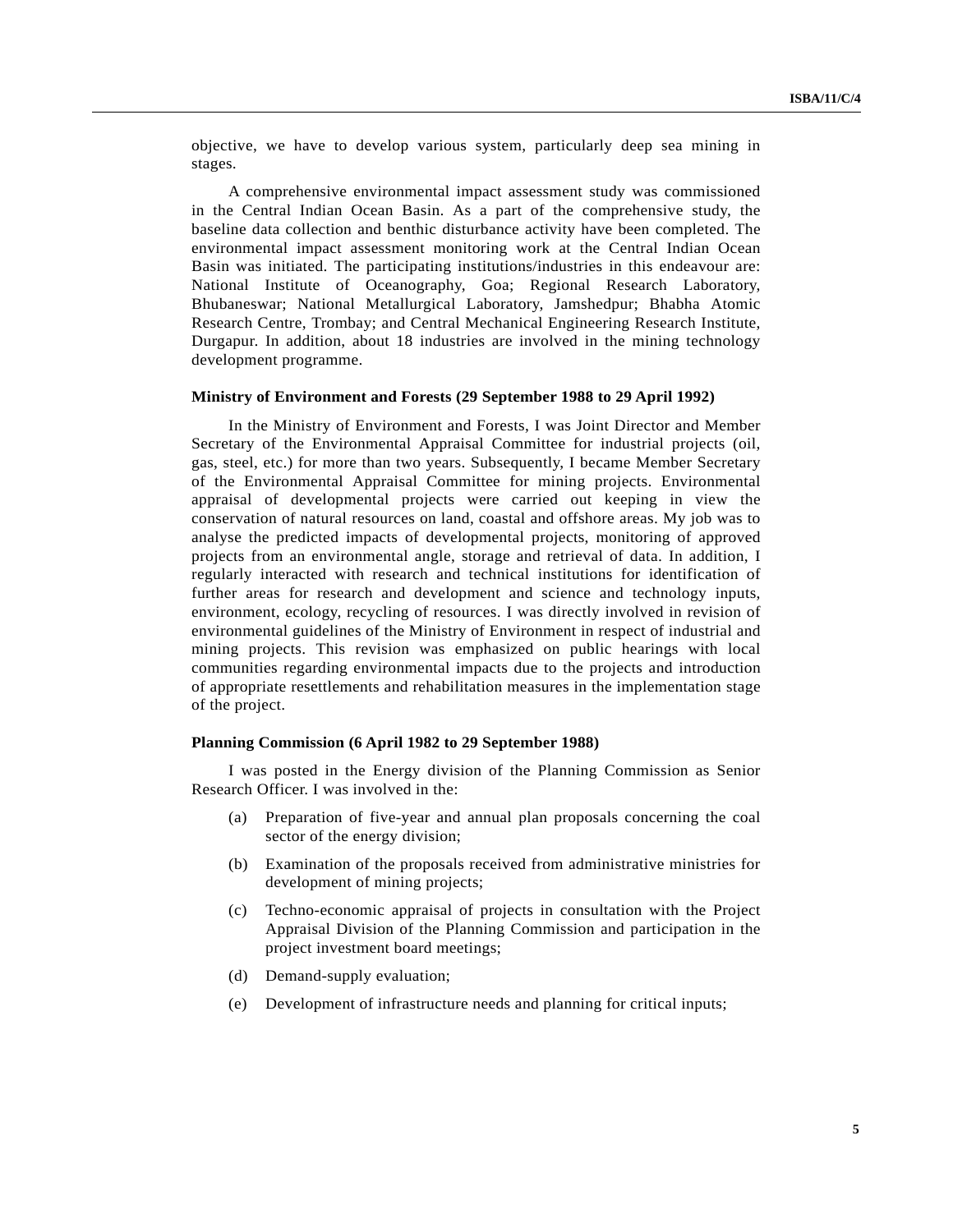objective, we have to develop various system, particularly deep sea mining in stages.

A comprehensive environmental impact assessment study was commissioned in the Central Indian Ocean Basin. As a part of the comprehensive study, the baseline data collection and benthic disturbance activity have been completed. The environmental impact assessment monitoring work at the Central Indian Ocean Basin was initiated. The participating institutions/industries in this endeavour are: National Institute of Oceanography, Goa; Regional Research Laboratory, Bhubaneswar; National Metallurgical Laboratory, Jamshedpur; Bhabha Atomic Research Centre, Trombay; and Central Mechanical Engineering Research Institute, Durgapur. In addition, about 18 industries are involved in the mining technology development programme.

#### **Ministry of Environment and Forests (29 September 1988 to 29 April 1992)**

In the Ministry of Environment and Forests, I was Joint Director and Member Secretary of the Environmental Appraisal Committee for industrial projects (oil, gas, steel, etc.) for more than two years. Subsequently, I became Member Secretary of the Environmental Appraisal Committee for mining projects. Environmental appraisal of developmental projects were carried out keeping in view the conservation of natural resources on land, coastal and offshore areas. My job was to analyse the predicted impacts of developmental projects, monitoring of approved projects from an environmental angle, storage and retrieval of data. In addition, I regularly interacted with research and technical institutions for identification of further areas for research and development and science and technology inputs, environment, ecology, recycling of resources. I was directly involved in revision of environmental guidelines of the Ministry of Environment in respect of industrial and mining projects. This revision was emphasized on public hearings with local communities regarding environmental impacts due to the projects and introduction of appropriate resettlements and rehabilitation measures in the implementation stage of the project.

#### **Planning Commission (6 April 1982 to 29 September 1988)**

I was posted in the Energy division of the Planning Commission as Senior Research Officer. I was involved in the:

- (a) Preparation of five-year and annual plan proposals concerning the coal sector of the energy division;
- (b) Examination of the proposals received from administrative ministries for development of mining projects;
- (c) Techno-economic appraisal of projects in consultation with the Project Appraisal Division of the Planning Commission and participation in the project investment board meetings;
- (d) Demand-supply evaluation;
- (e) Development of infrastructure needs and planning for critical inputs;